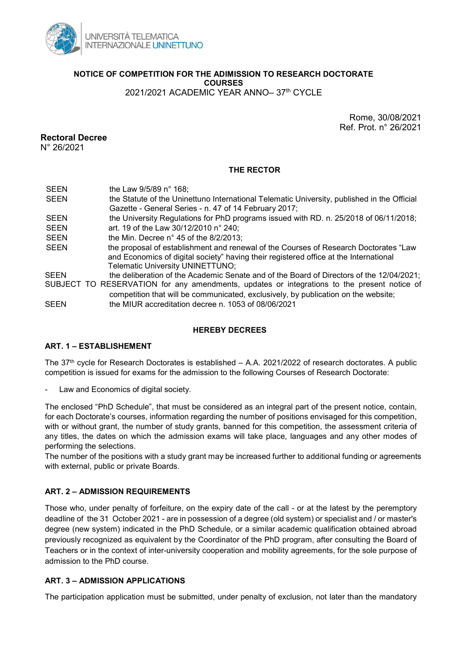

NOTICE OF COMPETITION FOR THE ADIMISSION TO RESEARCH DOCTORATE **COURSES** 

2021/2021 ACADEMIC YEAR ANNO– 37th CYCLE

Rome, 30/08/2021 Ref. Prot. n° 26/2021

# Rectoral Decree

N° 26/2021

## THE RECTOR

SEEN the Law 9/5/89 n° 168; SEEN the Statute of the Uninettuno International Telematic University, published in the Official Gazette - General Series - n. 47 of 14 February 2017; SEEN the University Regulations for PhD programs issued with RD. n. 25/2018 of 06/11/2018; SEEN art. 19 of the Law 30/12/2010 n° 240; SEEN the Min. Decree n° 45 of the 8/2/2013: SEEN the proposal of establishment and renewal of the Courses of Research Doctorates "Law and Economics of digital society" having their registered office at the International Telematic University UNINETTUNO; SEEN the deliberation of the Academic Senate and of the Board of Directors of the 12/04/2021; SUBJECT TO RESERVATION for any amendments, updates or integrations to the present notice of competition that will be communicated, exclusively, by publication on the website; SEEN the MIUR accreditation decree n. 1053 of 08/06/2021

### HEREBY DECREES

## ART. 1 – ESTABLISHEMENT

The 37th cycle for Research Doctorates is established – A.A. 2021/2022 of research doctorates. A public competition is issued for exams for the admission to the following Courses of Research Doctorate:

Law and Economics of digital society.

The enclosed "PhD Schedule", that must be considered as an integral part of the present notice, contain, for each Doctorate's courses, information regarding the number of positions envisaged for this competition, with or without grant, the number of study grants, banned for this competition, the assessment criteria of any titles, the dates on which the admission exams will take place, languages and any other modes of performing the selections.

The number of the positions with a study grant may be increased further to additional funding or agreements with external, public or private Boards.

## ART. 2 – ADMISSION REQUIREMENTS

Those who, under penalty of forfeiture, on the expiry date of the call - or at the latest by the peremptory deadline of the 31 October 2021 - are in possession of a degree (old system) or specialist and / or master's degree (new system) indicated in the PhD Schedule, or a similar academic qualification obtained abroad previously recognized as equivalent by the Coordinator of the PhD program, after consulting the Board of Teachers or in the context of inter-university cooperation and mobility agreements, for the sole purpose of admission to the PhD course.

## ART. 3 - ADMISSION APPLICATIONS

The participation application must be submitted, under penalty of exclusion, not later than the mandatory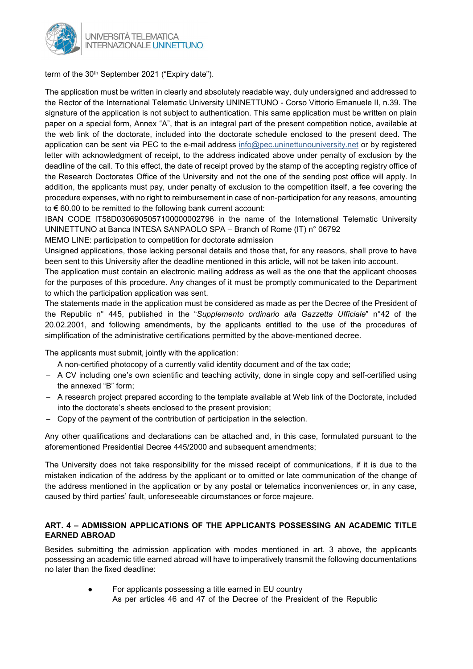

term of the 30<sup>th</sup> September 2021 ("Expiry date").

The application must be written in clearly and absolutely readable way, duly undersigned and addressed to the Rector of the International Telematic University UNINETTUNO - Corso Vittorio Emanuele II, n.39. The signature of the application is not subject to authentication. This same application must be written on plain paper on a special form, Annex "A", that is an integral part of the present competition notice, available at the web link of the doctorate, included into the doctorate schedule enclosed to the present deed. The application can be sent via PEC to the e-mail address info@pec.uninettunouniversity.net or by registered letter with acknowledgment of receipt, to the address indicated above under penalty of exclusion by the deadline of the call. To this effect, the date of receipt proved by the stamp of the accepting registry office of the Research Doctorates Office of the University and not the one of the sending post office will apply. In addition, the applicants must pay, under penalty of exclusion to the competition itself, a fee covering the procedure expenses, with no right to reimbursement in case of non-participation for any reasons, amounting to € 60.00 to be remitted to the following bank current account:

IBAN CODE IT58D0306905057100000002796 in the name of the International Telematic University UNINETTUNO at Banca INTESA SANPAOLO SPA – Branch of Rome (IT) n° 06792

MEMO LINE: participation to competition for doctorate admission

Unsigned applications, those lacking personal details and those that, for any reasons, shall prove to have been sent to this University after the deadline mentioned in this article, will not be taken into account.

The application must contain an electronic mailing address as well as the one that the applicant chooses for the purposes of this procedure. Any changes of it must be promptly communicated to the Department to which the participation application was sent.

The statements made in the application must be considered as made as per the Decree of the President of the Republic n° 445, published in the "Supplemento ordinario alla Gazzetta Ufficiale" n°42 of the 20.02.2001, and following amendments, by the applicants entitled to the use of the procedures of simplification of the administrative certifications permitted by the above-mentioned decree.

The applicants must submit, jointly with the application:

- A non-certified photocopy of a currently valid identity document and of the tax code;
- A CV including one's own scientific and teaching activity, done in single copy and self-certified using the annexed "B" form;
- A research project prepared according to the template available at Web link of the Doctorate, included into the doctorate's sheets enclosed to the present provision;
- Copy of the payment of the contribution of participation in the selection.

Any other qualifications and declarations can be attached and, in this case, formulated pursuant to the aforementioned Presidential Decree 445/2000 and subsequent amendments;

The University does not take responsibility for the missed receipt of communications, if it is due to the mistaken indication of the address by the applicant or to omitted or late communication of the change of the address mentioned in the application or by any postal or telematics inconveniences or, in any case, caused by third parties' fault, unforeseeable circumstances or force majeure.

# ART. 4 – ADMISSION APPLICATIONS OF THE APPLICANTS POSSESSING AN ACADEMIC TITLE EARNED ABROAD

Besides submitting the admission application with modes mentioned in art. 3 above, the applicants possessing an academic title earned abroad will have to imperatively transmit the following documentations no later than the fixed deadline:

> For applicants possessing a title earned in EU country As per articles 46 and 47 of the Decree of the President of the Republic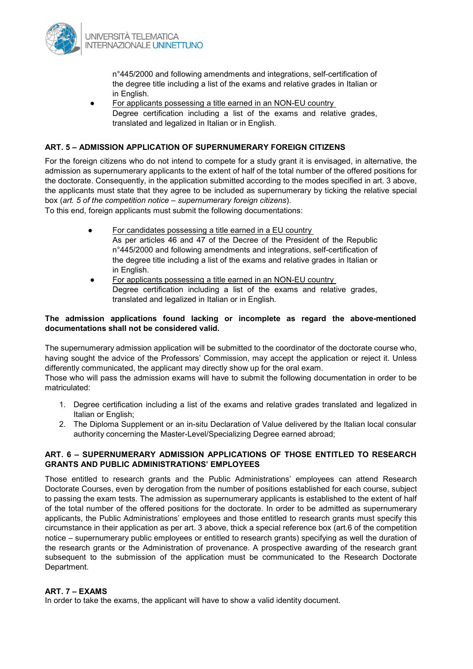

n°445/2000 and following amendments and integrations, self-certification of the degree title including a list of the exams and relative grades in Italian or in English.

For applicants possessing a title earned in an NON-EU country Degree certification including a list of the exams and relative grades, translated and legalized in Italian or in English.

### ART. 5 – ADMISSION APPLICATION OF SUPERNUMERARY FOREIGN CITIZENS

For the foreign citizens who do not intend to compete for a study grant it is envisaged, in alternative, the admission as supernumerary applicants to the extent of half of the total number of the offered positions for the doctorate. Consequently, in the application submitted according to the modes specified in art. 3 above, the applicants must state that they agree to be included as supernumerary by ticking the relative special box (art. 5 of the competition notice – supernumerary foreign citizens).

To this end, foreign applicants must submit the following documentations:

- For candidates possessing a title earned in a EU country As per articles 46 and 47 of the Decree of the President of the Republic n°445/2000 and following amendments and integrations, self-certification of the degree title including a list of the exams and relative grades in Italian or in English.
- For applicants possessing a title earned in an NON-EU country Degree certification including a list of the exams and relative grades, translated and legalized in Italian or in English.

#### The admission applications found lacking or incomplete as regard the above-mentioned documentations shall not be considered valid.

The supernumerary admission application will be submitted to the coordinator of the doctorate course who, having sought the advice of the Professors' Commission, may accept the application or reject it. Unless differently communicated, the applicant may directly show up for the oral exam.

Those who will pass the admission exams will have to submit the following documentation in order to be matriculated:

- 1. Degree certification including a list of the exams and relative grades translated and legalized in Italian or English;
- 2. The Diploma Supplement or an in-situ Declaration of Value delivered by the Italian local consular authority concerning the Master-Level/Specializing Degree earned abroad;

#### ART. 6 – SUPERNUMERARY ADMISSION APPLICATIONS OF THOSE ENTITLED TO RESEARCH GRANTS AND PUBLIC ADMINISTRATIONS' EMPLOYEES

Those entitled to research grants and the Public Administrations' employees can attend Research Doctorate Courses, even by derogation from the number of positions established for each course, subject to passing the exam tests. The admission as supernumerary applicants is established to the extent of half of the total number of the offered positions for the doctorate. In order to be admitted as supernumerary applicants, the Public Administrations' employees and those entitled to research grants must specify this circumstance in their application as per art. 3 above, thick a special reference box (art.6 of the competition notice – supernumerary public employees or entitled to research grants) specifying as well the duration of the research grants or the Administration of provenance. A prospective awarding of the research grant subsequent to the submission of the application must be communicated to the Research Doctorate Department.

#### ART. 7 – EXAMS

In order to take the exams, the applicant will have to show a valid identity document.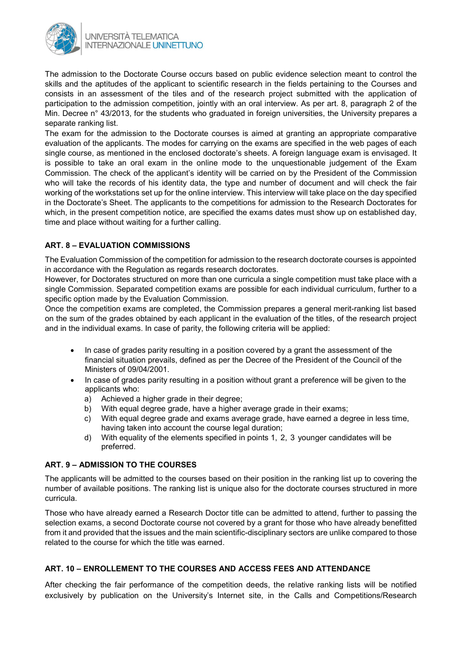

The admission to the Doctorate Course occurs based on public evidence selection meant to control the skills and the aptitudes of the applicant to scientific research in the fields pertaining to the Courses and consists in an assessment of the tiles and of the research project submitted with the application of participation to the admission competition, jointly with an oral interview. As per art. 8, paragraph 2 of the Min. Decree n° 43/2013, for the students who graduated in foreign universities, the University prepares a separate ranking list.

The exam for the admission to the Doctorate courses is aimed at granting an appropriate comparative evaluation of the applicants. The modes for carrying on the exams are specified in the web pages of each single course, as mentioned in the enclosed doctorate's sheets. A foreign language exam is envisaged. It is possible to take an oral exam in the online mode to the unquestionable judgement of the Exam Commission. The check of the applicant's identity will be carried on by the President of the Commission who will take the records of his identity data, the type and number of document and will check the fair working of the workstations set up for the online interview. This interview will take place on the day specified in the Doctorate's Sheet. The applicants to the competitions for admission to the Research Doctorates for which, in the present competition notice, are specified the exams dates must show up on established day, time and place without waiting for a further calling.

## ART. 8 – EVALUATION COMMISSIONS

The Evaluation Commission of the competition for admission to the research doctorate courses is appointed in accordance with the Regulation as regards research doctorates.

However, for Doctorates structured on more than one curricula a single competition must take place with a single Commission. Separated competition exams are possible for each individual curriculum, further to a specific option made by the Evaluation Commission.

Once the competition exams are completed, the Commission prepares a general merit-ranking list based on the sum of the grades obtained by each applicant in the evaluation of the titles, of the research project and in the individual exams. In case of parity, the following criteria will be applied:

- In case of grades parity resulting in a position covered by a grant the assessment of the financial situation prevails, defined as per the Decree of the President of the Council of the Ministers of 09/04/2001.
- In case of grades parity resulting in a position without grant a preference will be given to the applicants who:
	- a) Achieved a higher grade in their degree:
	- b) With equal degree grade, have a higher average grade in their exams;
	- c) With equal degree grade and exams average grade, have earned a degree in less time, having taken into account the course legal duration;
	- d) With equality of the elements specified in points 1, 2, 3 younger candidates will be preferred.

# ART. 9 – ADMISSION TO THE COURSES

The applicants will be admitted to the courses based on their position in the ranking list up to covering the number of available positions. The ranking list is unique also for the doctorate courses structured in more curricula.

Those who have already earned a Research Doctor title can be admitted to attend, further to passing the selection exams, a second Doctorate course not covered by a grant for those who have already benefitted from it and provided that the issues and the main scientific-disciplinary sectors are unlike compared to those related to the course for which the title was earned.

# ART. 10 – ENROLLEMENT TO THE COURSES AND ACCESS FEES AND ATTENDANCE

After checking the fair performance of the competition deeds, the relative ranking lists will be notified exclusively by publication on the University's Internet site, in the Calls and Competitions/Research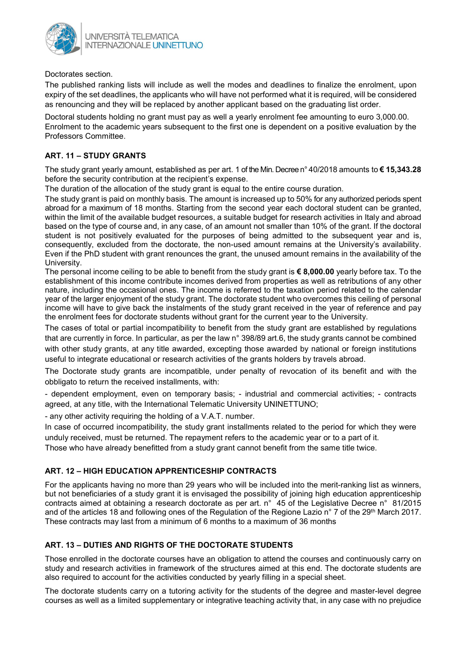

Doctorates section.

The published ranking lists will include as well the modes and deadlines to finalize the enrolment, upon expiry of the set deadlines, the applicants who will have not performed what it is required, will be considered as renouncing and they will be replaced by another applicant based on the graduating list order.

Doctoral students holding no grant must pay as well a yearly enrolment fee amounting to euro 3,000.00. Enrolment to the academic years subsequent to the first one is dependent on a positive evaluation by the Professors Committee.

# ART. 11 – STUDY GRANTS

The study grant yearly amount, established as per art. 1 of the Min. Decree n° 40/2018 amounts to €15,343.28 before the security contribution at the recipient's expense.

The duration of the allocation of the study grant is equal to the entire course duration.

The study grant is paid on monthly basis. The amount is increased up to 50% for any authorized periods spent abroad for a maximum of 18 months. Starting from the second year each doctoral student can be granted, within the limit of the available budget resources, a suitable budget for research activities in Italy and abroad based on the type of course and, in any case, of an amount not smaller than 10% of the grant. If the doctoral student is not positively evaluated for the purposes of being admitted to the subsequent year and is, consequently, excluded from the doctorate, the non-used amount remains at the University's availability. Even if the PhD student with grant renounces the grant, the unused amount remains in the availability of the University.

The personal income ceiling to be able to benefit from the study grant is  $\epsilon$  8,000.00 yearly before tax. To the establishment of this income contribute incomes derived from properties as well as retributions of any other nature, including the occasional ones. The income is referred to the taxation period related to the calendar year of the larger enjoyment of the study grant. The doctorate student who overcomes this ceiling of personal income will have to give back the instalments of the study grant received in the year of reference and pay the enrolment fees for doctorate students without grant for the current year to the University.

The cases of total or partial incompatibility to benefit from the study grant are established by regulations that are currently in force. In particular, as per the law n° 398/89 art.6, the study grants cannot be combined with other study grants, at any title awarded, excepting those awarded by national or foreign institutions useful to integrate educational or research activities of the grants holders by travels abroad.

The Doctorate study grants are incompatible, under penalty of revocation of its benefit and with the obbligato to return the received installments, with:

- dependent employment, even on temporary basis; - industrial and commercial activities; - contracts agreed, at any title, with the International Telematic University UNINETTUNO;

- any other activity requiring the holding of a V.A.T. number.

In case of occurred incompatibility, the study grant installments related to the period for which they were unduly received, must be returned. The repayment refers to the academic year or to a part of it.

Those who have already benefitted from a study grant cannot benefit from the same title twice.

# ART. 12 – HIGH EDUCATION APPRENTICESHIP CONTRACTS

For the applicants having no more than 29 years who will be included into the merit-ranking list as winners, but not beneficiaries of a study grant it is envisaged the possibility of joining high education apprenticeship contracts aimed at obtaining a research doctorate as per art. n° 45 of the Legislative Decree n° 81/2015 and of the articles 18 and following ones of the Regulation of the Regione Lazio n° 7 of the 29<sup>th</sup> March 2017. These contracts may last from a minimum of 6 months to a maximum of 36 months

## ART. 13 – DUTIES AND RIGHTS OF THE DOCTORATE STUDENTS

Those enrolled in the doctorate courses have an obligation to attend the courses and continuously carry on study and research activities in framework of the structures aimed at this end. The doctorate students are also required to account for the activities conducted by yearly filling in a special sheet.

The doctorate students carry on a tutoring activity for the students of the degree and master-level degree courses as well as a limited supplementary or integrative teaching activity that, in any case with no prejudice